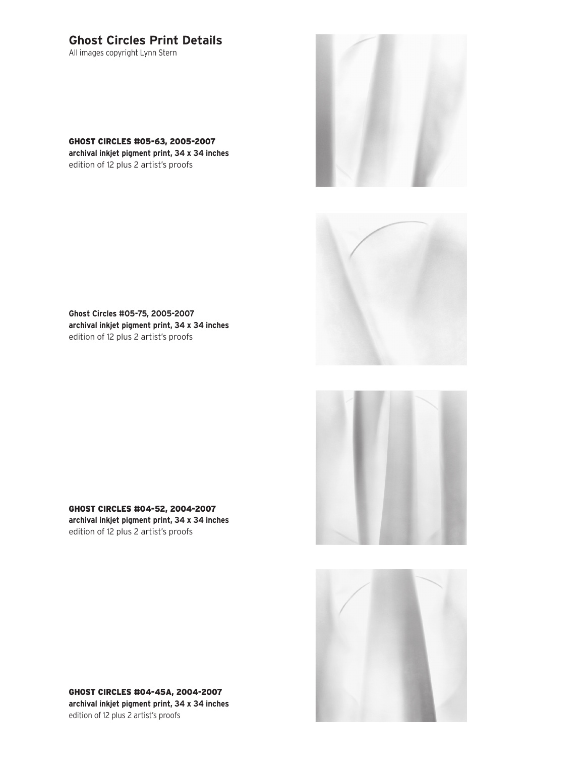## **Ghost Circles Print Details**

All images copyright Lynn Stern

GHOST CIRCLES #05-63, 2005-2007 **archival inkjet pigment print, 34 x 34 inches** edition of 12 plus 2 artist's proofs





**Ghost Circles #05-75, 2005-2007 archival inkjet pigment print, 34 x 34 inches** edition of 12 plus 2 artist's proofs





GHOST CIRCLES #04-52, 2004-2007 **archival inkjet pigment print, 34 x 34 inches** edition of 12 plus 2 artist's proofs

GHOST CIRCLES #04-45A, 2004-2007 **archival inkjet pigment print, 34 x 34 inches** edition of 12 plus 2 artist's proofs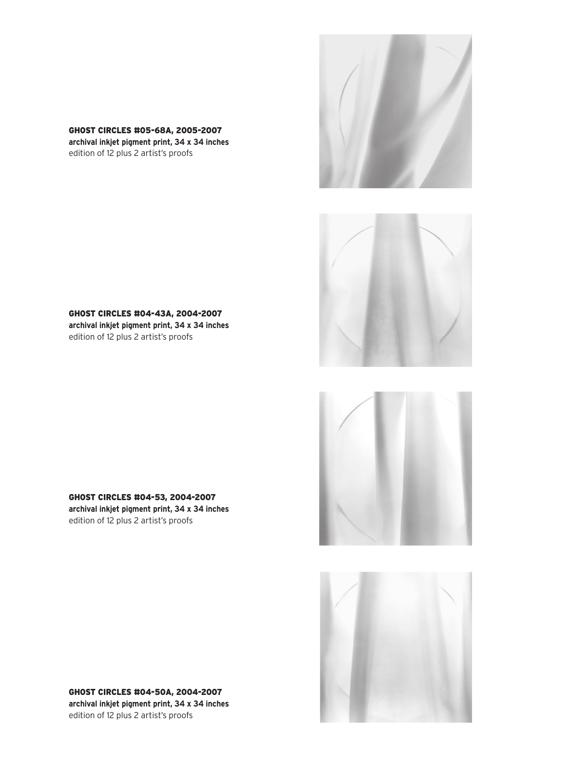GHOST CIRCLES #05-68A, 2005-2007 **archival inkjet pigment print, 34 x 34 inches**

edition of 12 plus 2 artist's proofs



GHOST CIRCLES #04-53, 2004-2007 **archival inkjet pigment print, 34 x 34 inches** edition of 12 plus 2 artist's proofs









GHOST CIRCLES #04-50A, 2004-2007 **archival inkjet pigment print, 34 x 34 inches** edition of 12 plus 2 artist's proofs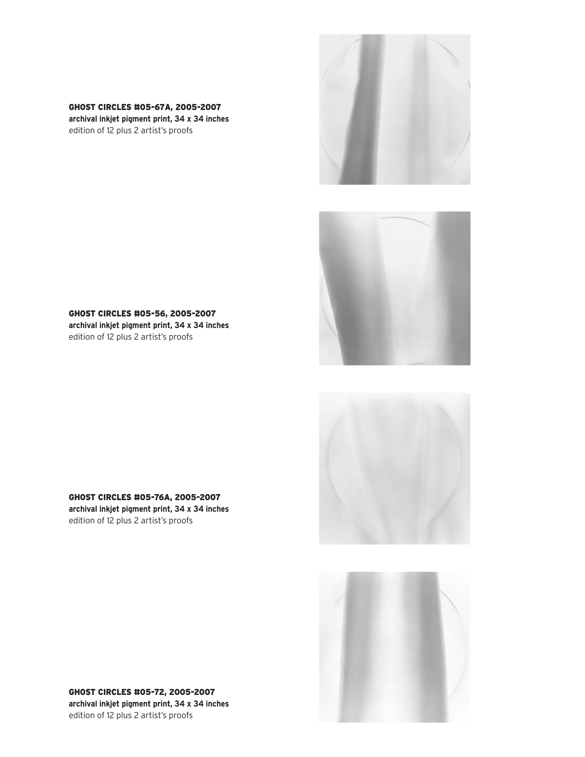GHOST CIRCLES #05-67A, 2005-2007 **archival inkjet pigment print, 34 x 34 inches** edition of 12 plus 2 artist's proofs





GHOST CIRCLES #05-56, 2005-2007 **archival inkjet pigment print, 34 x 34 inches** edition of 12 plus 2 artist's proofs





GHOST CIRCLES #05-76A, 2005-2007 **archival inkjet pigment print, 34 x 34 inches** edition of 12 plus 2 artist's proofs

GHOST CIRCLES #05-72, 2005-2007 **archival inkjet pigment print, 34 x 34 inches** edition of 12 plus 2 artist's proofs